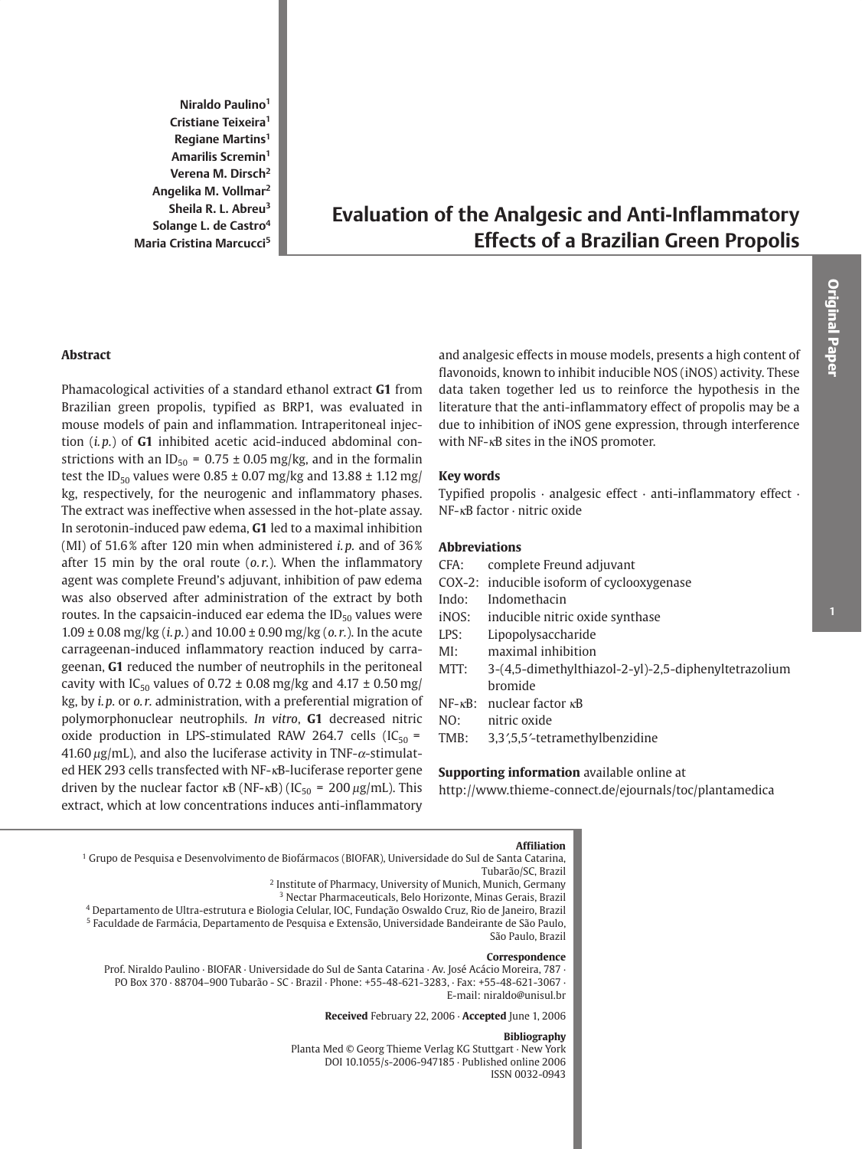Niraldo Paulino<sup>1</sup> Cristiane Teixeira<sup>1</sup> Regiane Martins<sup>1</sup> Amarilis Scremin<sup>1</sup> Verena M. Dirsch<sup>2</sup> Angelika M. Vollmar<sup>2</sup> Sheila R. L. Abreu<sup>3</sup> Solange L. de Castro<sup>4</sup> Maria Cristina Marcucci<sup>5</sup>

# **Evaluation of the Analgesic and Anti-Inflammatory Effects of a Brazilian Green Propolis**

### **Abstract**

Phamacological activities of a standard ethanol extract G1 from Brazilian green propolis, typified as BRP1, was evaluated in mouse models of pain and inflammation. Intraperitoneal injection  $(i, p.)$  of  $G1$  inhibited acetic acid-induced abdominal constrictions with an ID<sub>50</sub> = 0.75  $\pm$  0.05 mg/kg, and in the formalin test the ID<sub>50</sub> values were  $0.85 \pm 0.07$  mg/kg and  $13.88 \pm 1.12$  mg/ kg, respectively, for the neurogenic and inflammatory phases. The extract was ineffective when assessed in the hot-plate assay. In serotonin-induced paw edema, G1 led to a maximal inhibition (MI) of 51.6% after 120 min when administered *i.p.* and of  $36\%$ after 15 min by the oral route  $(o.r.)$ . When the inflammatory agent was complete Freund's adjuvant, inhibition of paw edema was also observed after administration of the extract by both routes. In the capsaicin-induced ear edema the  $ID_{50}$  values were  $1.09 \pm 0.08$  mg/kg (*i.p.*) and  $10.00 \pm 0.90$  mg/kg (*o.r.*). In the acute carrageenan-induced inflammatory reaction induced by carrageenan, G1 reduced the number of neutrophils in the peritoneal cavity with IC<sub>50</sub> values of 0.72  $\pm$  0.08 mg/kg and 4.17  $\pm$  0.50 mg/ kg, by i.p. or o.r. administration, with a preferential migration of polymorphonuclear neutrophils. In vitro, G1 decreased nitric oxide production in LPS-stimulated RAW 264.7 cells (IC<sub>50</sub> = 41.60  $\mu$ g/mL), and also the luciferase activity in TNF- $\alpha$ -stimulated HEK 293 cells transfected with NF-KB-luciferase reporter gene driven by the nuclear factor  $\kappa$ B (NF- $\kappa$ B) (IC<sub>50</sub> = 200  $\mu$ g/mL). This extract, which at low concentrations induces anti-inflammatory

and analgesic effects in mouse models, presents a high content of flavonoids, known to inhibit inducible NOS (iNOS) activity. These data taken together led us to reinforce the hypothesis in the literature that the anti-inflammatory effect of propolis may be a due to inhibition of iNOS gene expression, through interference with NF-<sub>KB</sub> sites in the iNOS promoter.

### **Key words**

Typified propolis  $\cdot$  analgesic effect  $\cdot$  anti-inflammatory effect  $\cdot$  $NF$ - $\kappa$ B factor · nitric oxide

### **Abbreviations**

- CFA: complete Freund adjuvant
- COX-2: inducible isoform of cyclooxygenase
- Indo: Indomethacin
- iNOS: inducible nitric oxide synthase
- LPS: Lipopolysaccharide
- $MI:$ maximal inhibition
- MTT: 3-(4,5-dimethylthiazol-2-yl)-2,5-diphenyltetrazolium bromide
- $NF \kappa B$ : nuclear factor  $\kappa B$
- NO: nitric oxide
- TMB: 3,3',5,5'-tetramethylbenzidine

### Supporting information available online at

http://www.thieme-connect.de/ejournals/toc/plantamedica

#### **Affiliation**

<sup>1</sup> Grupo de Pesquisa e Desenvolvimento de Biofármacos (BIOFAR), Universidade do Sul de Santa Catarina, Tubarão/SC, Brazil

<sup>2</sup> Institute of Pharmacy, University of Munich, Munich, Germany

<sup>3</sup> Nectar Pharmaceuticals, Belo Horizonte, Minas Gerais, Brazil

4 Departamento de Ultra-estrutura e Biologia Celular, IOC, Fundação Oswaldo Cruz, Rio de Janeiro, Brazil <sup>5</sup> Faculdade de Farmácia, Departamento de Pesquisa e Extensão, Universidade Bandeirante de São Paulo,

# São Paulo, Brazil

Correspondence Prof. Niraldo Paulino · BIOFAR · Universidade do Sul de Santa Catarina · Av. José Acácio Moreira, 787 · PO Box 370 · 88704-900 Tubarão - SC · Brazil · Phone: +55-48-621-3283, · Fax: +55-48-621-3067 · E-mail: niraldo@unisul.br

Received February 22, 2006 · Accepted June 1, 2006

#### **Bibliography**

Planta Med © Georg Thieme Verlag KG Stuttgart · New York DOI 10.1055/s-2006-947185 · Published online 2006 ISSN 0032-0943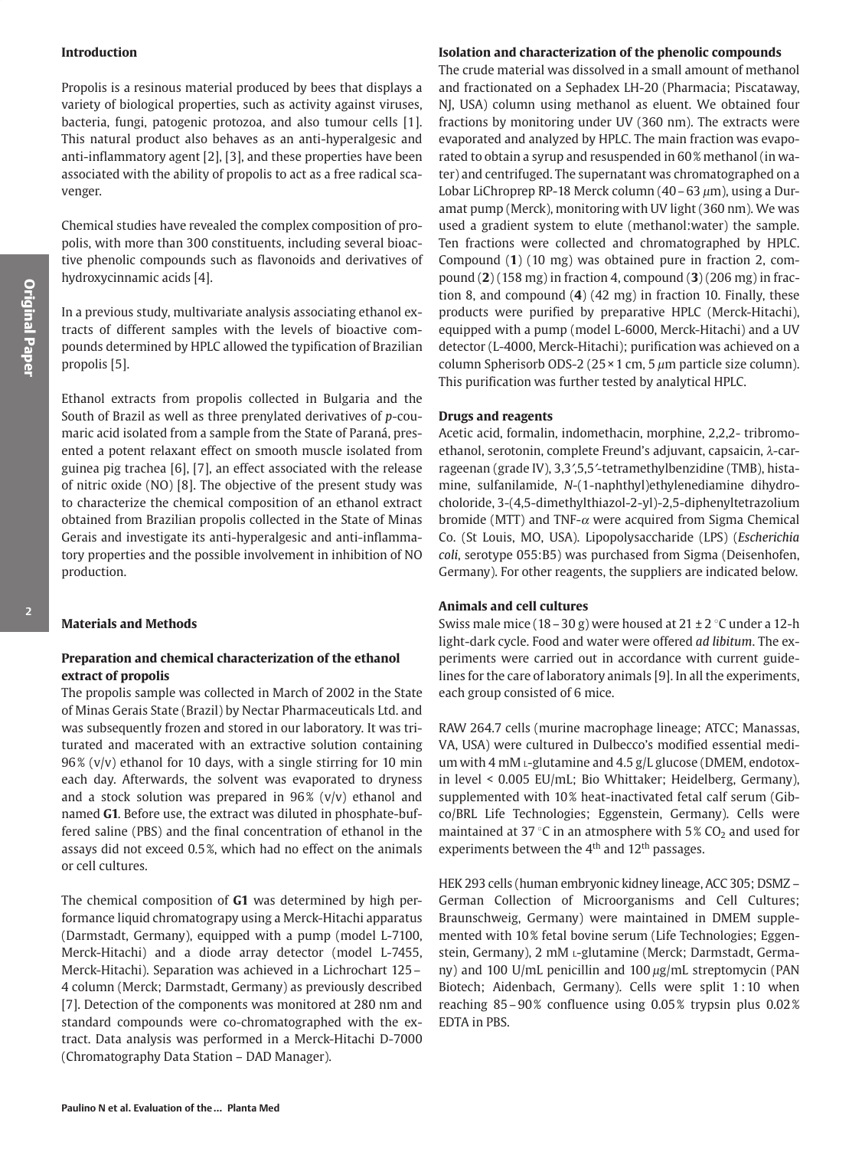### **Introduction**

Propolis is a resinous material produced by bees that displays a variety of biological properties, such as activity against viruses, bacteria, fungi, patogenic protozoa, and also tumour cells [1]. This natural product also behaves as an anti-hyperalgesic and anti-inflammatory agent [2], [3], and these properties have been associated with the ability of propolis to act as a free radical scavenger.

Chemical studies have revealed the complex composition of propolis, with more than 300 constituents, including several bioactive phenolic compounds such as flavonoids and derivatives of hydroxycinnamic acids [4].

In a previous study, multivariate analysis associating ethanol extracts of different samples with the levels of bioactive compounds determined by HPLC allowed the typification of Brazilian propolis [5].

Ethanol extracts from propolis collected in Bulgaria and the South of Brazil as well as three prenylated derivatives of  $p$ -coumaric acid isolated from a sample from the State of Paraná, presented a potent relaxant effect on smooth muscle isolated from guinea pig trachea [6], [7], an effect associated with the release of nitric oxide (NO) [8]. The objective of the present study was to characterize the chemical composition of an ethanol extract obtained from Brazilian propolis collected in the State of Minas Gerais and investigate its anti-hyperalgesic and anti-inflammatory properties and the possible involvement in inhibition of NO production.

### **Materials and Methods**

# Preparation and chemical characterization of the ethanol extract of propolis

The propolis sample was collected in March of 2002 in the State of Minas Gerais State (Brazil) by Nectar Pharmaceuticals Ltd. and was subsequently frozen and stored in our laboratory. It was triturated and macerated with an extractive solution containing  $96\%$  (v/v) ethanol for 10 days, with a single stirring for 10 min each day. Afterwards, the solvent was evaporated to dryness and a stock solution was prepared in  $96\%$  (v/v) ethanol and named G1. Before use, the extract was diluted in phosphate-buffered saline (PBS) and the final concentration of ethanol in the assays did not exceed 0.5%, which had no effect on the animals or cell cultures.

The chemical composition of G1 was determined by high performance liquid chromatograpy using a Merck-Hitachi apparatus (Darmstadt, Germany), equipped with a pump (model L-7100, Merck-Hitachi) and a diode array detector (model L-7455, Merck-Hitachi). Separation was achieved in a Lichrochart 125 -4 column (Merck; Darmstadt, Germany) as previously described [7]. Detection of the components was monitored at 280 nm and standard compounds were co-chromatographed with the extract. Data analysis was performed in a Merck-Hitachi D-7000 (Chromatography Data Station - DAD Manager).

### Isolation and characterization of the phenolic compounds

The crude material was dissolved in a small amount of methanol and fractionated on a Sephadex LH-20 (Pharmacia; Piscataway, NJ, USA) column using methanol as eluent. We obtained four fractions by monitoring under UV (360 nm). The extracts were evaporated and analyzed by HPLC. The main fraction was evaporated to obtain a syrup and resuspended in 60% methanol (in water) and centrifuged. The supernatant was chromatographed on a Lobar LiChroprep RP-18 Merck column (40 – 63 um), using a Duramat pump (Merck), monitoring with UV light (360 nm). We was used a gradient system to elute (methanol: water) the sample. Ten fractions were collected and chromatographed by HPLC. Compound (1) (10 mg) was obtained pure in fraction 2, compound  $(2)$  (158 mg) in fraction 4, compound  $(3)$  (206 mg) in fraction 8, and compound  $(4)$   $(42 \text{ mg})$  in fraction 10. Finally, these products were purified by preparative HPLC (Merck-Hitachi), equipped with a pump (model L-6000, Merck-Hitachi) and a UV detector (L-4000, Merck-Hitachi); purification was achieved on a column Spherisorb ODS-2 ( $25 \times 1$  cm, 5  $\mu$ m particle size column). This purification was further tested by analytical HPLC.

### **Drugs and reagents**

Acetic acid, formalin, indomethacin, morphine, 2,2,2-tribromoethanol, serotonin, complete Freund's adjuvant, capsaicin, λ-carrageenan (grade IV), 3,3',5,5'-tetramethylbenzidine (TMB), histamine, sulfanilamide, N-(1-naphthyl)ethylenediamine dihydrocholoride, 3-(4,5-dimethylthiazol-2-yl)-2,5-diphenyltetrazolium bromide (MTT) and TNF- $\alpha$  were acquired from Sigma Chemical Co. (St Louis, MO, USA). Lipopolysaccharide (LPS) (Escherichia coli, serotype 055:B5) was purchased from Sigma (Deisenhofen, Germany). For other reagents, the suppliers are indicated below.

#### **Animals and cell cultures**

Swiss male mice (18 – 30 g) were housed at  $21 \pm 2$  °C under a 12-h light-dark cycle. Food and water were offered ad libitum. The experiments were carried out in accordance with current guidelines for the care of laboratory animals [9]. In all the experiments, each group consisted of 6 mice.

RAW 264.7 cells (murine macrophage lineage; ATCC; Manassas, VA, USA) were cultured in Dulbecco's modified essential medium with 4 mM L-glutamine and 4.5 g/L glucose (DMEM, endotoxin level < 0.005 EU/mL; Bio Whittaker; Heidelberg, Germany), supplemented with 10% heat-inactivated fetal calf serum (Gibco/BRL Life Technologies; Eggenstein, Germany). Cells were maintained at 37 °C in an atmosphere with  $5\%$  CO<sub>2</sub> and used for experiments between the 4<sup>th</sup> and 12<sup>th</sup> passages.

HEK 293 cells (human embryonic kidney lineage, ACC 305; DSMZ – German Collection of Microorganisms and Cell Cultures; Braunschweig, Germany) were maintained in DMEM supplemented with 10% fetal bovine serum (Life Technologies; Eggenstein, Germany), 2 mM L-glutamine (Merck; Darmstadt, Germany) and 100 U/mL penicillin and 100 µg/mL streptomycin (PAN Biotech; Aidenbach, Germany). Cells were split 1:10 when reaching 85-90% confluence using 0.05% trypsin plus 0.02% EDTA in PBS.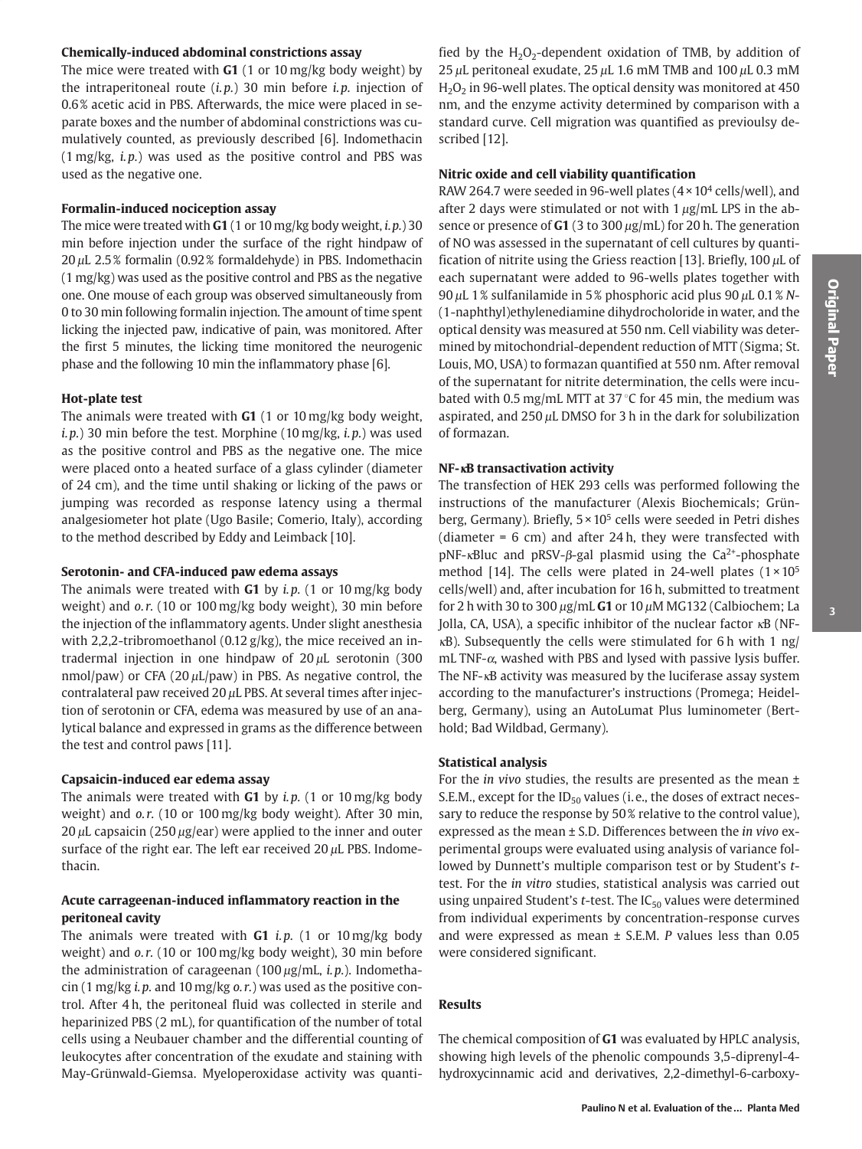# Chemically-induced abdominal constrictions assay

The mice were treated with  $G1$  (1 or 10 mg/kg body weight) by the intraperitoneal route  $(i.p.)$  30 min before  $i.p.$  injection of 0.6% acetic acid in PBS. Afterwards, the mice were placed in separate boxes and the number of abdominal constrictions was cumulatively counted, as previously described [6]. Indomethacin  $(1 \text{ mg/kg}, i.p.)$  was used as the positive control and PBS was used as the negative one.

# Formalin-induced nociception assay

The mice were treated with  $G1(1 \text{ or } 10 \text{ mg/kg}$  body weight, *i.p.*) 30 min before injection under the surface of the right hindpaw of  $20 \mu$ L 2.5% formalin (0.92% formaldehyde) in PBS. Indomethacin  $(1 \text{ mg/kg})$  was used as the positive control and PBS as the negative one. One mouse of each group was observed simultaneously from 0 to 30 min following formalin injection. The amount of time spent licking the injected paw, indicative of pain, was monitored. After the first 5 minutes, the licking time monitored the neurogenic phase and the following 10 min the inflammatory phase [6].

## **Hot-plate test**

The animals were treated with  $G1$  (1 or 10 mg/kg body weight, i.p.) 30 min before the test. Morphine (10 mg/kg, i.p.) was used as the positive control and PBS as the negative one. The mice were placed onto a heated surface of a glass cylinder (diameter of 24 cm), and the time until shaking or licking of the paws or jumping was recorded as response latency using a thermal analgesiometer hot plate (Ugo Basile; Comerio, Italy), according to the method described by Eddy and Leimback [10].

### Serotonin- and CFA-induced paw edema assays

The animals were treated with  $G1$  by *i.p.* (1 or 10 mg/kg body weight) and o.r. (10 or 100 mg/kg body weight), 30 min before the injection of the inflammatory agents. Under slight anesthesia with 2,2,2-tribromoethanol (0.12  $g/kg$ ), the mice received an intradermal injection in one hindpaw of  $20 \mu$ L serotonin (300 nmol/paw) or CFA (20 $\mu$ L/paw) in PBS. As negative control, the contralateral paw received 20  $\mu$ L PBS. At several times after injection of serotonin or CFA, edema was measured by use of an analytical balance and expressed in grams as the difference between the test and control paws [11].

# Capsaicin-induced ear edema assay

The animals were treated with  $G1$  by i.p. (1 or 10 mg/kg body weight) and o.r. (10 or 100 mg/kg body weight). After 30 min,  $20 \mu$ L capsaicin (250  $\mu$ g/ear) were applied to the inner and outer surface of the right ear. The left ear received  $20 \mu L$  PBS. Indomethacin.

# Acute carrageenan-induced inflammatory reaction in the peritoneal cavity

The animals were treated with  $G1$  *i.p.* (1 or 10 mg/kg body weight) and o.r. (10 or 100 mg/kg body weight), 30 min before the administration of carageenan  $(100 \,\mu\text{g/mL}, i.p.)$ . Indomethacin  $(1 \text{ mg/kg } i.p.$  and  $10 \text{ mg/kg } o.r.$ ) was used as the positive control. After 4 h, the peritoneal fluid was collected in sterile and heparinized PBS (2 mL), for quantification of the number of total cells using a Neubauer chamber and the differential counting of leukocytes after concentration of the exudate and staining with May-Grünwald-Giemsa. Myeloperoxidase activity was quanti-

fied by the  $H_2O_2$ -dependent oxidation of TMB, by addition of 25  $\mu$ L peritoneal exudate, 25  $\mu$ L 1.6 mM TMB and 100  $\mu$ L 0.3 mM  $H<sub>2</sub>O<sub>2</sub>$  in 96-well plates. The optical density was monitored at 450 nm, and the enzyme activity determined by comparison with a standard curve. Cell migration was quantified as previoulsy described [12].

# Nitric oxide and cell viability quantification

RAW 264.7 were seeded in 96-well plates  $(4 \times 10^4 \text{ cells/well})$ , and after 2 days were stimulated or not with  $1 \mu g/mL$  LPS in the absence or presence of  $G1$  (3 to 300  $\mu$ g/mL) for 20 h. The generation of NO was assessed in the supernatant of cell cultures by quantification of nitrite using the Griess reaction [13]. Briefly, 100  $\mu$ L of each supernatant were added to 96-wells plates together with 90  $\mu$ L 1% sulfanilamide in 5% phosphoric acid plus 90  $\mu$ L 0.1% N-(1-naphthyl) ethylenediamine dihydrocholoride in water, and the optical density was measured at 550 nm. Cell viability was determined by mitochondrial-dependent reduction of MTT (Sigma; St. Louis, MO, USA) to formazan quantified at 550 nm. After removal of the supernatant for nitrite determination, the cells were incubated with 0.5 mg/mL MTT at 37 °C for 45 min, the medium was aspirated, and  $250 \mu L$  DMSO for 3 h in the dark for solubilization of formazan.

## NF-<sub>KB</sub> transactivation activity

The transfection of HEK 293 cells was performed following the instructions of the manufacturer (Alexis Biochemicals; Grünberg, Germany). Briefly,  $5 \times 10^5$  cells were seeded in Petri dishes (diameter =  $6 \text{ cm}$ ) and after 24h, they were transfected with  $pNF$ - $\kappa$ Bluc and  $pRSV$ - $\beta$ -gal plasmid using the Ca<sup>2+</sup>-phosphate method [14]. The cells were plated in 24-well plates  $(1 \times 10^5$ cells/well) and, after incubation for 16 h, submitted to treatment for 2 h with 30 to 300  $\mu$ g/mL G1 or 10  $\mu$ M MG132 (Calbiochem; La Jolla, CA, USA), a specific inhibitor of the nuclear factor  $\kappa$ B (NFkB). Subsequently the cells were stimulated for 6 h with 1 ng/  $mL$  TNF- $\alpha$ , washed with PBS and lysed with passive lysis buffer. The NF-<sub>K</sub>B activity was measured by the luciferase assay system according to the manufacturer's instructions (Promega; Heidelberg, Germany), using an AutoLumat Plus luminometer (Berthold; Bad Wildbad, Germany).

# **Statistical analysis**

For the *in vivo* studies, the results are presented as the mean  $\pm$ S.E.M., except for the ID<sub>50</sub> values (i.e., the doses of extract necessary to reduce the response by 50% relative to the control value), expressed as the mean ± S.D. Differences between the in vivo experimental groups were evaluated using analysis of variance followed by Dunnett's multiple comparison test or by Student's ttest. For the *in vitro* studies, statistical analysis was carried out using unpaired Student's  $t$ -test. The IC<sub>50</sub> values were determined from individual experiments by concentration-response curves and were expressed as mean  $\pm$  S.E.M. P values less than 0.05 were considered significant.

# **Results**

The chemical composition of G1 was evaluated by HPLC analysis, showing high levels of the phenolic compounds 3,5-diprenyl-4hydroxycinnamic acid and derivatives, 2,2-dimethyl-6-carboxy-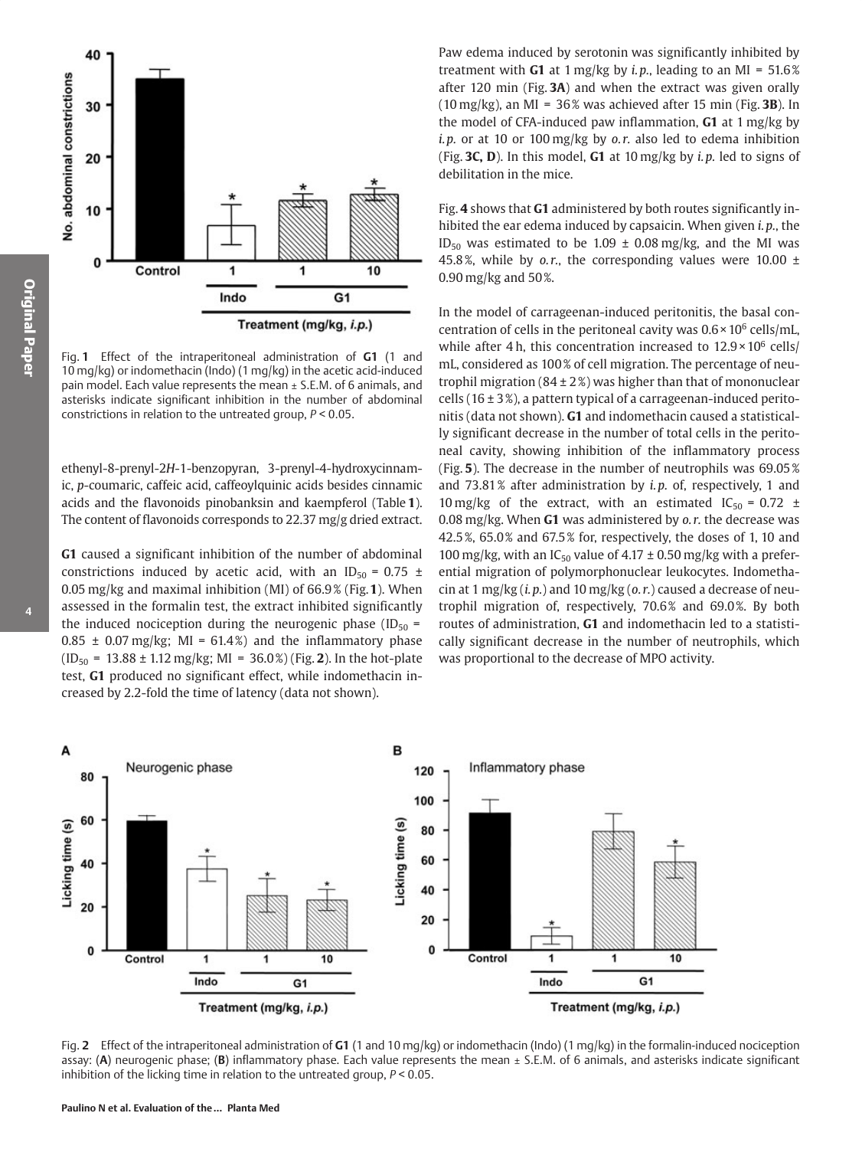

Fig. 1 Effect of the intraperitoneal administration of G1 (1 and 10 mg/kg) or indomethacin (Indo) (1 mg/kg) in the acetic acid-induced pain model. Each value represents the mean ± S.E.M. of 6 animals, and asterisks indicate significant inhibition in the number of abdominal constrictions in relation to the untreated group,  $P < 0.05$ .

ethenyl-8-prenyl-2H-1-benzopyran, 3-prenyl-4-hydroxycinnamic, p-coumaric, caffeic acid, caffeoylquinic acids besides cinnamic acids and the flavonoids pinobanksin and kaempferol (Table 1). The content of flavonoids corresponds to 22.37 mg/g dried extract.

G1 caused a significant inhibition of the number of abdominal constrictions induced by acetic acid, with an ID<sub>50</sub> = 0.75 ± 0.05 mg/kg and maximal inhibition (MI) of 66.9% (Fig. 1). When assessed in the formalin test, the extract inhibited significantly the induced nociception during the neurogenic phase (ID<sub>50</sub> =  $0.85 \pm 0.07$  mg/kg; MI = 61.4%) and the inflammatory phase  $(ID_{50} = 13.88 \pm 1.12 \text{ mg/kg}$ ; MI = 36.0%) (Fig. 2). In the hot-plate test, G1 produced no significant effect, while indomethacin increased by 2.2-fold the time of latency (data not shown).

Paw edema induced by serotonin was significantly inhibited by treatment with G1 at 1 mg/kg by *i.p.*, leading to an MI =  $51.6\%$ after 120 min (Fig.  $3A$ ) and when the extract was given orally  $(10 \text{ mg/kg})$ , an MI = 36% was achieved after 15 min (Fig. 3B). In the model of CFA-induced paw inflammation, G1 at 1 mg/kg by i.p. or at 10 or 100 mg/kg by  $o.r.$  also led to edema inhibition (Fig. 3C, D). In this model, G1 at  $10 \,\text{mg/kg}$  by *i.p.* led to signs of debilitation in the mice.

Fig. 4 shows that G1 administered by both routes significantly inhibited the ear edema induced by capsaicin. When given *i.p.*, the ID<sub>50</sub> was estimated to be 1.09  $\pm$  0.08 mg/kg, and the MI was 45.8%, while by o.r., the corresponding values were 10.00  $\pm$ 0.90 mg/kg and 50%.

In the model of carrageenan-induced peritonitis, the basal concentration of cells in the peritoneal cavity was  $0.6 \times 10^6$  cells/mL, while after 4 h, this concentration increased to  $12.9 \times 10^6$  cells/ mL, considered as 100% of cell migration. The percentage of neutrophil migration  $(84 \pm 2\%)$  was higher than that of mononuclear cells (16  $\pm$  3%), a pattern typical of a carrageenan-induced peritonitis (data not shown). G1 and indomethacin caused a statistically significant decrease in the number of total cells in the peritoneal cavity, showing inhibition of the inflammatory process (Fig. 5). The decrease in the number of neutrophils was 69.05% and 73.81% after administration by *i.p.* of, respectively, 1 and 10 mg/kg of the extract, with an estimated  $IC_{50} = 0.72 \pm 10$ 0.08 mg/kg. When  $G1$  was administered by  $o.r.$  the decrease was 42.5%, 65.0% and 67.5% for, respectively, the doses of 1, 10 and 100 mg/kg, with an IC<sub>50</sub> value of 4.17  $\pm$  0.50 mg/kg with a preferential migration of polymorphonuclear leukocytes. Indomethacin at 1 mg/kg  $(i, p)$  and 10 mg/kg  $(o, r)$  caused a decrease of neutrophil migration of, respectively, 70.6% and 69.0%. By both routes of administration, G1 and indomethacin led to a statistically significant decrease in the number of neutrophils, which was proportional to the decrease of MPO activity.



Fig. 2 Effect of the intraperitoneal administration of G1 (1 and 10 mg/kg) or indomethacin (Indo) (1 mg/kg) in the formalin-induced nociception assay: (A) neurogenic phase; (B) inflammatory phase. Each value represents the mean  $\pm$  S.E.M. of 6 animals, and asterisks indicate significant inhibition of the licking time in relation to the untreated group,  $P < 0.05$ .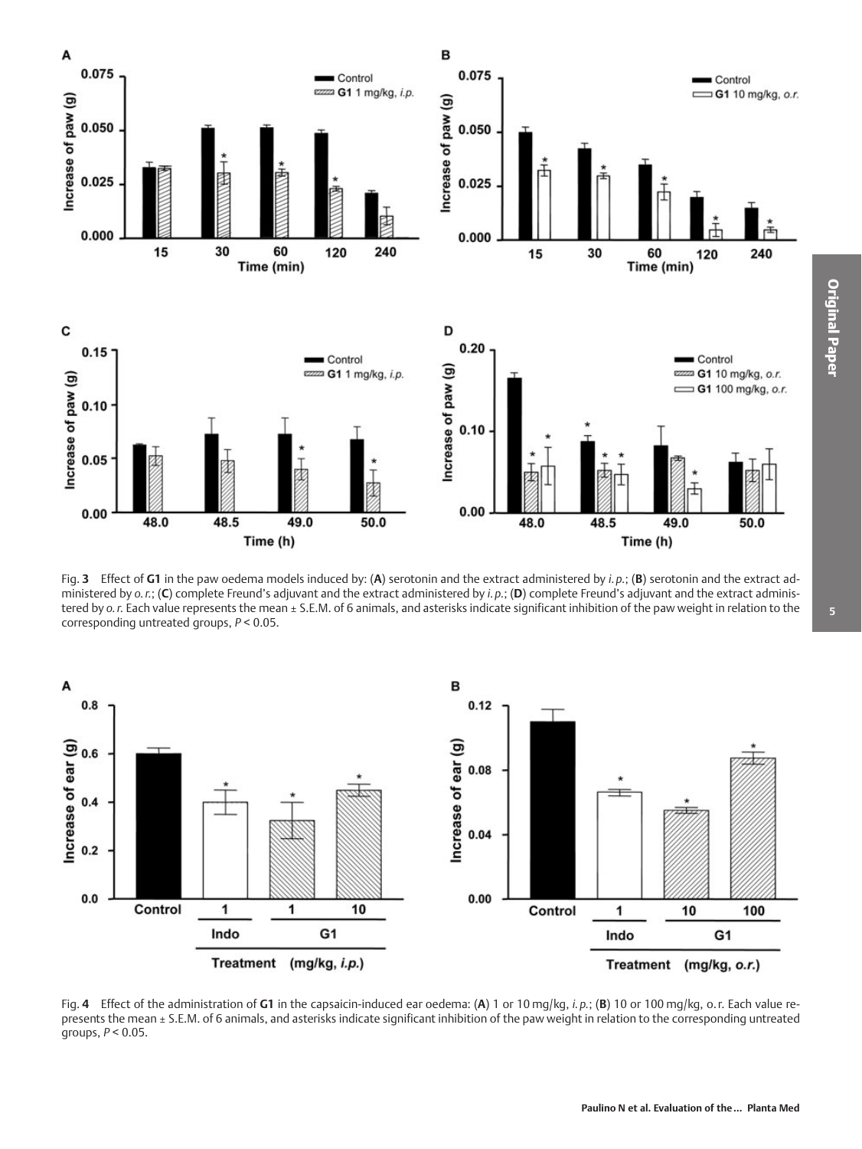

Fig. 3 Effect of G1 in the paw oedema models induced by: (A) serotonin and the extract administered by i.p.; (B) serotonin and the extract administered by  $o. r$ ; (C) complete Freund's adjuvant and the extract administered by  $i. p$ ; (D) complete Freund's adjuvant and the extract administered by o.r. Each value represents the mean ± S.E.M. of 6 animals, and asterisks indicate significant inhibition of the paw weight in relation to the corresponding untreated groups,  $P < 0.05$ .



Fig. 4 Effect of the administration of G1 in the capsaicin-induced ear oedema: (A) 1 or 10 mg/kg, i.p.; (B) 10 or 100 mg/kg, o.r. Each value represents the mean ± S.E.M. of 6 animals, and asterisks indicate significant inhibition of the paw weight in relation to the corresponding untreated groups,  $P < 0.05$ .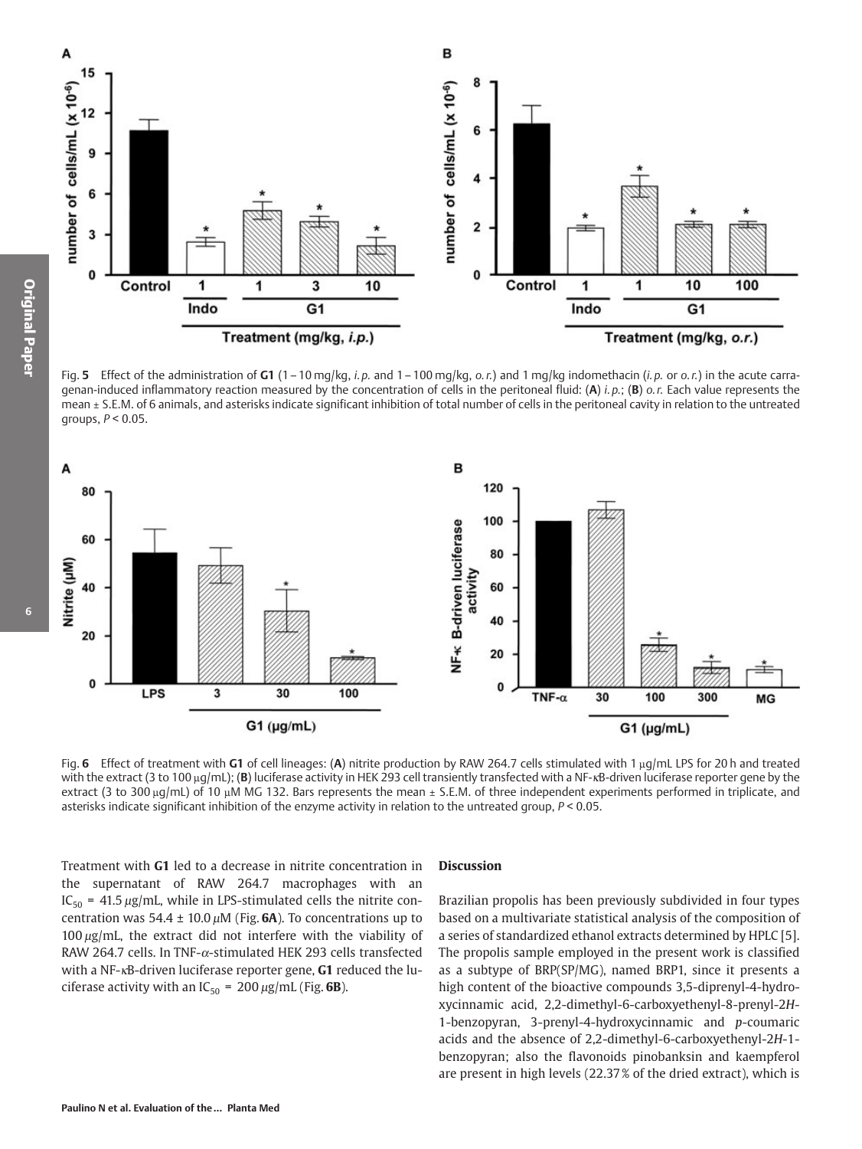

Fig. 5 Effect of the administration of G1 (1-10 mg/kg, i.p. and 1-100 mg/kg, o.r.) and 1 mg/kg indomethacin (i.p. or o.r.) in the acute carragenan-induced inflammatory reaction measured by the concentration of cells in the peritoneal fluid: (A) *i.p.*; (B)  $\rho$ .*r.* Each value represents the mean ± S.E.M. of 6 animals, and asterisks indicate significant inhibition of total number of cells in the peritoneal cavity in relation to the untreated groups,  $P < 0.05$ .



Fig. 6 Effect of treatment with G1 of cell lineages: (A) nitrite production by RAW 264.7 cells stimulated with 1  $\mu q/mL$  LPS for 20 h and treated with the extract (3 to 100 µq/mL); (B) luciferase activity in HEK 293 cell transiently transfected with a NF-xB-driven luciferase reporter gene by the extract (3 to 300  $\mu q/mL$ ) of 10  $\mu$ M MG 132. Bars represents the mean  $\pm$  S.E.M. of three independent experiments performed in triplicate, and asterisks indicate significant inhibition of the enzyme activity in relation to the untreated group,  $P < 0.05$ .

Treatment with G1 led to a decrease in nitrite concentration in the supernatant of RAW 264.7 macrophages with an  $IC_{50}$  = 41.5  $\mu$ g/mL, while in LPS-stimulated cells the nitrite concentration was  $54.4 \pm 10.0 \,\mu$ M (Fig. 6A). To concentrations up to  $100 \mu g$ /mL, the extract did not interfere with the viability of RAW 264.7 cells. In TNF- $\alpha$ -stimulated HEK 293 cells transfected with a NF-KB-driven luciferase reporter gene, G1 reduced the luciferase activity with an  $IC_{50} = 200 \mu g/mL$  (Fig. 6B).

### **Discussion**

Brazilian propolis has been previously subdivided in four types based on a multivariate statistical analysis of the composition of a series of standardized ethanol extracts determined by HPLC [5]. The propolis sample employed in the present work is classified as a subtype of BRP(SP/MG), named BRP1, since it presents a high content of the bioactive compounds 3,5-diprenyl-4-hydroxycinnamic acid, 2,2-dimethyl-6-carboxyethenyl-8-prenyl-2H-1-benzopyran, 3-prenyl-4-hydroxycinnamic and  $p$ -coumaric acids and the absence of 2,2-dimethyl-6-carboxyethenyl-2H-1benzopyran; also the flavonoids pinobanksin and kaempferol are present in high levels (22.37% of the dried extract), which is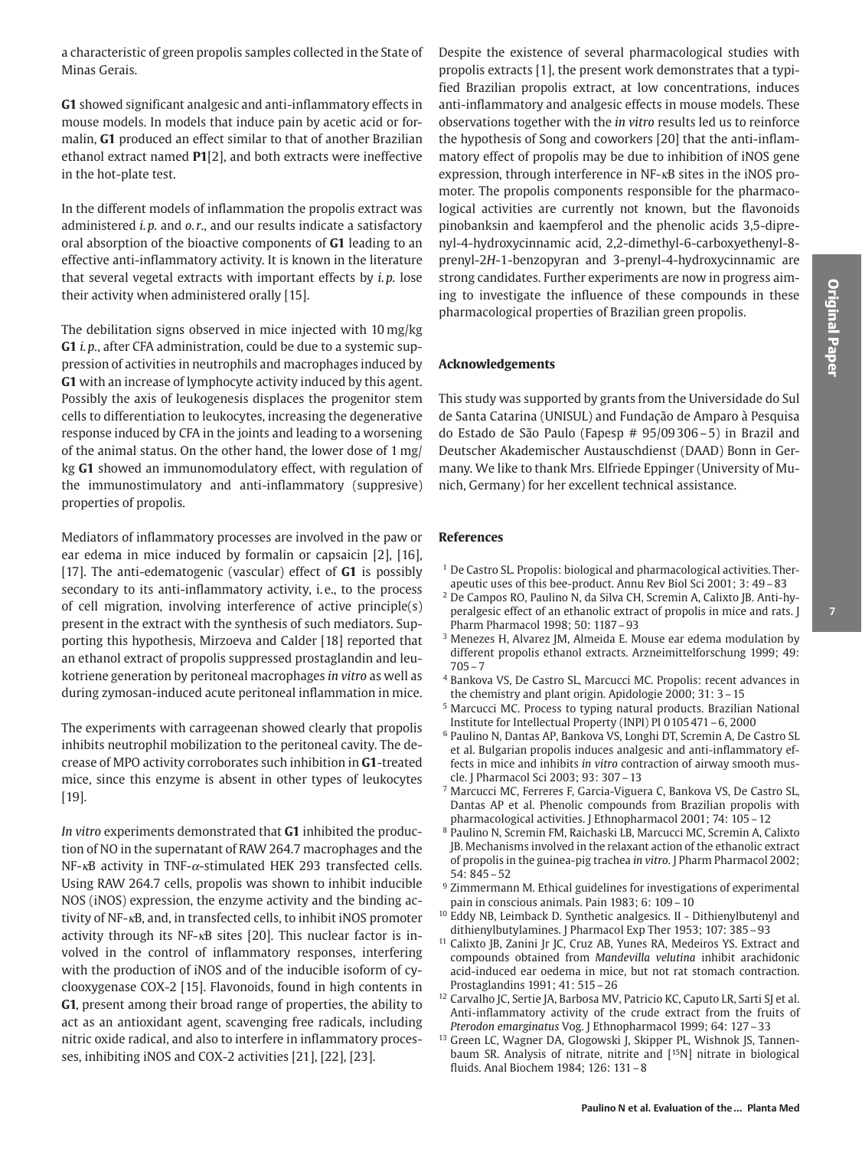a characteristic of green propolis samples collected in the State of Minas Gerais.

G1 showed significant analgesic and anti-inflammatory effects in mouse models. In models that induce pain by acetic acid or formalin, G1 produced an effect similar to that of another Brazilian ethanol extract named P1[2], and both extracts were ineffective in the hot-plate test.

In the different models of inflammation the propolis extract was administered *i.p.* and *o.r.*, and our results indicate a satisfactory oral absorption of the bioactive components of G1 leading to an effective anti-inflammatory activity. It is known in the literature that several vegetal extracts with important effects by *i.p.* lose their activity when administered orally [15].

The debilitation signs observed in mice injected with 10 mg/kg G1 *i.p.*, after CFA administration, could be due to a systemic suppression of activities in neutrophils and macrophages induced by G1 with an increase of lymphocyte activity induced by this agent. Possibly the axis of leukogenesis displaces the progenitor stem cells to differentiation to leukocytes, increasing the degenerative response induced by CFA in the joints and leading to a worsening of the animal status. On the other hand, the lower dose of 1 mg/ kg G1 showed an immunomodulatory effect, with regulation of the immunostimulatory and anti-inflammatory (suppresive) properties of propolis.

Mediators of inflammatory processes are involved in the paw or ear edema in mice induced by formalin or capsaicin [2], [16], [17]. The anti-edematogenic (vascular) effect of G1 is possibly secondary to its anti-inflammatory activity, i.e., to the process of cell migration, involving interference of active principle(s) present in the extract with the synthesis of such mediators. Supporting this hypothesis, Mirzoeva and Calder [18] reported that an ethanol extract of propolis suppressed prostaglandin and leukotriene generation by peritoneal macrophages in vitro as well as during zymosan-induced acute peritoneal inflammation in mice.

The experiments with carrageenan showed clearly that propolis inhibits neutrophil mobilization to the peritoneal cavity. The decrease of MPO activity corroborates such inhibition in G1-treated mice, since this enzyme is absent in other types of leukocytes  $[19]$ .

In vitro experiments demonstrated that G1 inhibited the production of NO in the supernatant of RAW 264.7 macrophages and the NF- $\kappa$ B activity in TNF- $\alpha$ -stimulated HEK 293 transfected cells. Using RAW 264.7 cells, propolis was shown to inhibit inducible NOS (iNOS) expression, the enzyme activity and the binding activity of NF-<sub>K</sub>B, and, in transfected cells, to inhibit iNOS promoter activity through its NF-<sub>KB</sub> sites [20]. This nuclear factor is involved in the control of inflammatory responses, interfering with the production of iNOS and of the inducible isoform of cyclooxygenase COX-2 [15]. Flavonoids, found in high contents in G1, present among their broad range of properties, the ability to act as an antioxidant agent, scavenging free radicals, including nitric oxide radical, and also to interfere in inflammatory processes, inhibiting iNOS and COX-2 activities [21], [22], [23].

Despite the existence of several pharmacological studies with propolis extracts [1], the present work demonstrates that a typified Brazilian propolis extract, at low concentrations, induces anti-inflammatory and analgesic effects in mouse models. These observations together with the in vitro results led us to reinforce the hypothesis of Song and coworkers [20] that the anti-inflammatory effect of propolis may be due to inhibition of iNOS gene expression, through interference in NF-<sub>KB</sub> sites in the iNOS promoter. The propolis components responsible for the pharmacological activities are currently not known, but the flavonoids pinobanksin and kaempferol and the phenolic acids 3,5-diprenyl-4-hydroxycinnamic acid, 2,2-dimethyl-6-carboxyethenyl-8prenyl-2H-1-benzopyran and 3-prenyl-4-hydroxycinnamic are strong candidates. Further experiments are now in progress aiming to investigate the influence of these compounds in these pharmacological properties of Brazilian green propolis.

## **Acknowledgements**

This study was supported by grants from the Universidade do Sul de Santa Catarina (UNISUL) and Fundação de Amparo à Pesquisa do Estado de São Paulo (Fapesp # 95/09306-5) in Brazil and Deutscher Akademischer Austauschdienst (DAAD) Bonn in Germany. We like to thank Mrs. Elfriede Eppinger (University of Munich, Germany) for her excellent technical assistance.

### **References**

- <sup>1</sup> De Castro SL. Propolis: biological and pharmacological activities. Therapeutic uses of this bee-product. Annu Rev Biol Sci 2001; 3: 49-83
- <sup>2</sup> De Campos RO, Paulino N, da Silva CH, Scremin A, Calixto JB. Anti-hyperalgesic effect of an ethanolic extract of propolis in mice and rats. J Pharm Pharmacol 1998; 50: 1187-93
- <sup>3</sup> Menezes H, Alvarez JM, Almeida E. Mouse ear edema modulation by different propolis ethanol extracts. Arzneimittelforschung 1999; 49:  $705 - 7$
- <sup>4</sup> Bankova VS, De Castro SL, Marcucci MC. Propolis: recent advances in the chemistry and plant origin. Apidologie 2000; 31: 3-15
- <sup>5</sup> Marcucci MC. Process to typing natural products. Brazilian National Institute for Intellectual Property (INPI) PI 0105471-6, 2000
- <sup>6</sup> Paulino N, Dantas AP, Bankova VS, Longhi DT, Scremin A, De Castro SL et al. Bulgarian propolis induces analgesic and anti-inflammatory effects in mice and inhibits in vitro contraction of airway smooth muscle. J Pharmacol Sci 2003; 93: 307 - 13
- 7 Marcucci MC, Ferreres F, Garcia-Viguera C, Bankova VS, De Castro SL, Dantas AP et al. Phenolic compounds from Brazilian propolis with pharmacological activities. [Ethnopharmacol 2001; 74: 105 - 12
- <sup>8</sup> Paulino N, Scremin FM, Raichaski LB, Marcucci MC, Scremin A, Calixto JB. Mechanisms involved in the relaxant action of the ethanolic extract of propolis in the guinea-pig trachea in vitro. J Pharm Pharmacol 2002;  $54:845-52$
- <sup>9</sup> Zimmermann M. Ethical guidelines for investigations of experimental pain in conscious animals. Pain 1983; 6: 109 - 10
- <sup>10</sup> Eddy NB, Leimback D. Synthetic analgesics. II Dithienylbutenyl and dithienylbutylamines. J Pharmacol Exp Ther 1953; 107: 385-93
- <sup>11</sup> Calixto JB, Zanini Jr JC, Cruz AB, Yunes RA, Medeiros YS. Extract and compounds obtained from Mandevilla velutina inhibit arachidonic acid-induced ear oedema in mice, but not rat stomach contraction. Prostaglandins 1991; 41: 515-26
- <sup>12</sup> Carvalho JC, Sertie JA, Barbosa MV, Patricio KC, Caputo LR, Sarti SJ et al. Anti-inflammatory activity of the crude extract from the fruits of Pterodon emarginatus Vog. J Ethnopharmacol 1999; 64: 127-33
- <sup>13</sup> Green LC, Wagner DA, Glogowski J, Skipper PL, Wishnok JS, Tannenbaum SR. Analysis of nitrate, nitrite and [<sup>15</sup>N] nitrate in biological fluids. Anal Biochem 1984; 126: 131-8